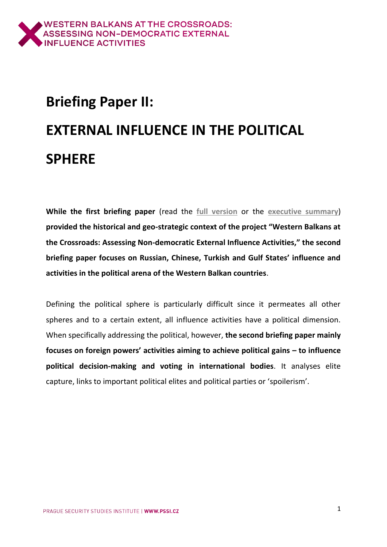# **Briefing Paper II: EXTERNAL INFLUENCE IN THE POLITICAL SPHERE**

**While the first briefing paper** (read the **[full version](https://www.balkancrossroads.com/bp-i-east-vs-west)** or the **[executive summary](https://www.balkancrossroads.com/copy-of-bp-i-east-vs-west)**) **provided the historical and geo-strategic context of the project "Western Balkans at the Crossroads: Assessing Non-democratic External Influence Activities," the second briefing paper focuses on Russian, Chinese, Turkish and Gulf States' influence and activities in the political arena of the Western Balkan countries**.

Defining the political sphere is particularly difficult since it permeates all other spheres and to a certain extent, all influence activities have a political dimension. When specifically addressing the political, however, **the second briefing paper mainly focuses on foreign powers' activities aiming to achieve political gains – to influence political decision-making and voting in international bodies**. It analyses elite capture, links to important political elites and political parties or 'spoilerism'.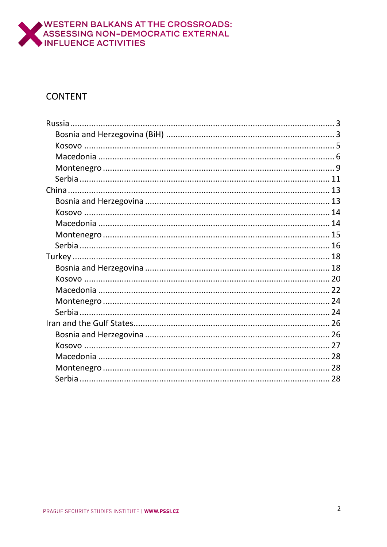

#### **CONTENT**

<span id="page-1-0"></span>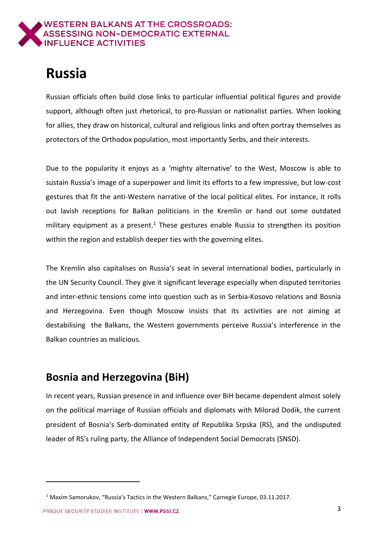

# **Russia**

Russian officials often build close links to particular influential political figures and provide support, although often just rhetorical, to pro-Russian or nationalist parties. When looking for allies, they draw on historical, cultural and religious links and often portray themselves as protectors of the Orthodox population, most importantly Serbs, and their interests.

Due to the popularity it enjoys as a 'mighty alternative' to the West, Moscow is able to sustain Russia's image of a superpower and limit its efforts to a few impressive, but low-cost gestures that fit the anti-Western narrative of the local political elites. For instance, it rolls out lavish receptions for Balkan politicians in the Kremlin or hand out some outdated military equipment as a present.<sup>1</sup> These gestures enable Russia to strengthen its position within the region and establish deeper ties with the governing elites.

The Kremlin also capitalises on Russia's seat in several international bodies, particularly in the UN Security Council. They give it significant leverage especially when disputed territories and inter-ethnic tensions come into question such as in Serbia-Kosovo relations and Bosnia and Herzegovina. Even though Moscow insists that its activities are not aiming at destabilising the Balkans, the Western governments perceive Russia's interference in the Balkan countries as malicious.

### <span id="page-2-0"></span>**Bosnia and Herzegovina (BiH)**

In recent years, Russian presence in and influence over BiH became dependent almost solely on the political marriage of Russian officials and diplomats with Milorad Dodik, the current president of Bosnia's Serb-dominated entity of Republika Srpska (RS), and the undisputed leader of RS's ruling party, the Alliance of Independent Social Democrats (SNSD).

PRAGUE SECURITY STUDIES INSTITUTE I WWW.PSSI.CZ

<sup>1</sup> Maxim Samorukov, "Russia's Tactics in the Western Balkans," Carnegie Europe, 03.11.2017.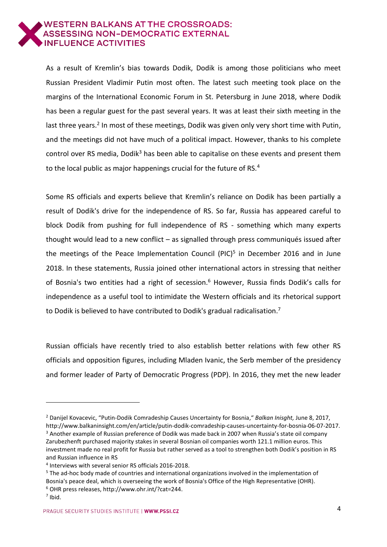

As a result of Kremlin's bias towards Dodik, Dodik is among those politicians who meet Russian President Vladimir Putin most often. The latest such meeting took place on the margins of the International Economic Forum in St. Petersburg in June 2018, where Dodik has been a regular guest for the past several years. It was at least their sixth meeting in the last three years.<sup>2</sup> In most of these meetings, Dodik was given only very short time with Putin, and the meetings did not have much of a political impact. However, thanks to his complete control over RS media, Dodik<sup>3</sup> has been able to capitalise on these events and present them to the local public as major happenings crucial for the future of RS.<sup>4</sup>

Some RS officials and experts believe that Kremlin's reliance on Dodik has been partially a result of Dodik's drive for the independence of RS. So far, Russia has appeared careful to block Dodik from pushing for full independence of RS - something which many experts thought would lead to a new conflict – as signalled through press communiqués issued after the meetings of the Peace Implementation Council (PIC)<sup>5</sup> in December 2016 and in June 2018. In these statements, Russia joined other international actors in stressing that neither of Bosnia's two entities had a right of secession.<sup>6</sup> However, Russia finds Dodik's calls for independence as a useful tool to intimidate the Western officials and its rhetorical support to Dodik is believed to have contributed to Dodik's gradual radicalisation.<sup>7</sup>

Russian officials have recently tried to also establish better relations with few other RS officials and opposition figures, including Mladen Ivanic, the Serb member of the presidency and former leader of Party of Democratic Progress (PDP). In 2016, they met the new leader

<sup>2</sup> Danijel Kovacevic, "Putin-Dodik Comradeship Causes Uncertainty for Bosnia," *Balkan Inisght,* June 8, 2017, http://www.balkaninsight.com/en/article/putin-dodik-comradeship-causes-uncertainty-for-bosnia-06-07-2017. <sup>3</sup> Another example of Russian preference of Dodik was made back in 2007 when Russia's state oil company Zarubezhenft purchased majority stakes in several Bosnian oil companies worth 121.1 million euros. This investment made no real profit for Russia but rather served as a tool to strengthen both Dodik's position in RS and Russian influence in RS

<sup>4</sup> Interviews with several senior RS officials 2016-2018.

<sup>&</sup>lt;sup>5</sup> The ad-hoc body made of countries and international organizations involved in the implementation of Bosnia's peace deal, which is overseeing the work of Bosnia's Office of the High Representative (OHR). <sup>6</sup> OHR press releases, http://www.ohr.int/?cat=244.

 $<sup>7</sup>$  Ibid.</sup>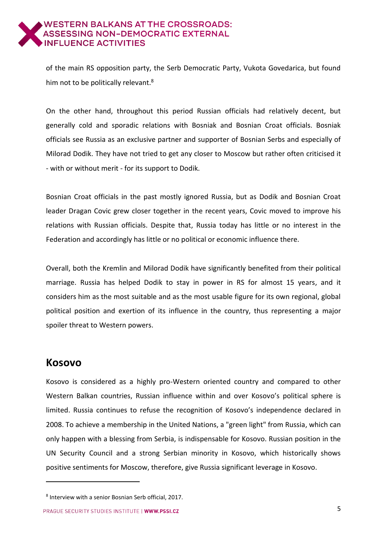of the main RS opposition party, the Serb Democratic Party, Vukota Govedarica, but found him not to be politically relevant.<sup>8</sup>

On the other hand, throughout this period Russian officials had relatively decent, but generally cold and sporadic relations with Bosniak and Bosnian Croat officials. Bosniak officials see Russia as an exclusive partner and supporter of Bosnian Serbs and especially of Milorad Dodik. They have not tried to get any closer to Moscow but rather often criticised it - with or without merit - for its support to Dodik.

Bosnian Croat officials in the past mostly ignored Russia, but as Dodik and Bosnian Croat leader Dragan Covic grew closer together in the recent years, Covic moved to improve his relations with Russian officials. Despite that, Russia today has little or no interest in the Federation and accordingly has little or no political or economic influence there.

Overall, both the Kremlin and Milorad Dodik have significantly benefited from their political marriage. Russia has helped Dodik to stay in power in RS for almost 15 years, and it considers him as the most suitable and as the most usable figure for its own regional, global political position and exertion of its influence in the country, thus representing a major spoiler threat to Western powers.

#### <span id="page-4-0"></span>**Kosovo**

-

Kosovo is considered as a highly pro-Western oriented country and compared to other Western Balkan countries, Russian influence within and over Kosovo's political sphere is limited. Russia continues to refuse the recognition of Kosovo's independence declared in 2008. To achieve a membership in the United Nations, a "green light" from Russia, which can only happen with a blessing from Serbia, is indispensable for Kosovo. Russian position in the UN Security Council and a strong Serbian minority in Kosovo, which historically shows positive sentiments for Moscow, therefore, give Russia significant leverage in Kosovo.

<sup>8</sup> Interview with a senior Bosnian Serb official, 2017.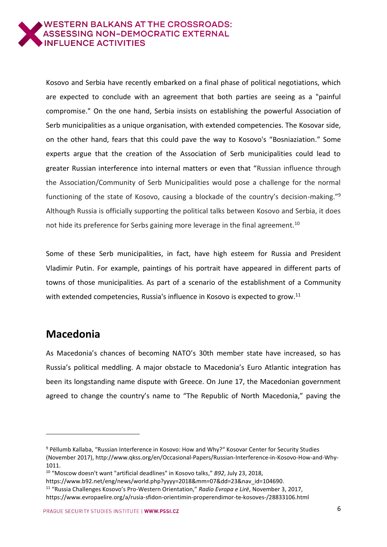

Kosovo and Serbia have recently embarked on a final phase of political negotiations, which are expected to conclude with an agreement that both parties are seeing as a "painful compromise." On the one hand, Serbia insists on establishing the powerful Association of Serb municipalities as a unique organisation, with extended competencies. The Kosovar side, on the other hand, fears that this could pave the way to Kosovo's "Bosniaziation." Some experts argue that the creation of the Association of Serb municipalities could lead to greater Russian interference into internal matters or even that "Russian influence through the Association/Community of Serb Municipalities would pose a challenge for the normal functioning of the state of Kosovo, causing a blockade of the country's decision-making."<sup>9</sup> Although Russia is officially supporting the political talks between Kosovo and Serbia, it does not hide its preference for Serbs gaining more leverage in the final agreement.<sup>10</sup>

Some of these Serb municipalities, in fact, have high esteem for Russia and President Vladimir Putin. For example, paintings of his portrait have appeared in different parts of towns of those municipalities. As part of a scenario of the establishment of a Community with extended competencies, Russia's influence in Kosovo is expected to grow.<sup>11</sup>

### <span id="page-5-0"></span>**Macedonia**

-

As Macedonia's chances of becoming NATO's 30th member state have increased, so has Russia's political meddling. A major obstacle to Macedonia's Euro Atlantic integration has been its longstanding name dispute with Greece. On June 17, the Macedonian government agreed to change the country's name to "The Republic of North Macedonia," paving the

<sup>9</sup> Pëllumb Kallaba, "Russian Interference in Kosovo: How and Why?" Kosovar Center for Security Studies (November 2017), http://www.qkss.org/en/Occasional-Papers/Russian-Interference-in-Kosovo-How-and-Why-1011.

<sup>10</sup> "Moscow doesn't want "artificial deadlines" in Kosovo talks," *B92*, July 23, 2018,

https://www.b92.net/eng/news/world.php?yyyy=2018&mm=07&dd=23&nav\_id=104690.

<sup>11</sup> "Russia Challenges Kosovo's Pro-Western Orientation," *Radio Evropa e Lirë*, November 3, 2017, https://www.evropaelire.org/a/rusia-sfidon-orientimin-properendimor-te-kosoves-/28833106.html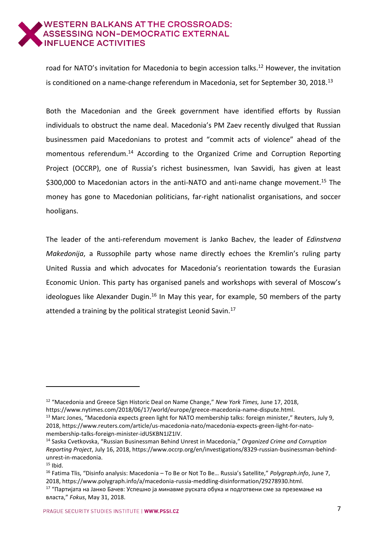road for NATO's invitation for Macedonia to begin accession talks.<sup>12</sup> However, the invitation is conditioned on a name-change referendum in Macedonia, set for September 30, 2018.<sup>13</sup>

Both the Macedonian and the Greek government have identified efforts by Russian individuals to obstruct the name deal. Macedonia's PM Zaev recently divulged that Russian businessmen paid Macedonians to protest and "commit acts of violence" ahead of the momentous referendum.<sup>14</sup> According to the Organized Crime and Corruption Reporting Project (OCCRP), one of Russia's richest businessmen, Ivan Savvidi, has given at least \$300,000 to Macedonian actors in the anti-NATO and anti-name change movement.<sup>15</sup> The money has gone to Macedonian politicians, far-right nationalist organisations, and soccer hooligans.

The leader of the anti-referendum movement is Janko Bachev, the leader of *Edinstvena Makedonija*, a Russophile party whose name directly echoes the Kremlin's ruling party United Russia and which advocates for Macedonia's reorientation towards the Eurasian Economic Union. This party has organised panels and workshops with several of Moscow's ideologues like Alexander Dugin.<sup>16</sup> In May this year, for example, 50 members of the party attended a training by the political strategist Leonid Savin.<sup>17</sup>

<sup>12</sup> "Macedonia and Greece Sign Historic Deal on Name Change," *New York Times,* June 17, 2018, [https://www.nytimes.com/2018/06/17/world/europe/greece-macedonia-name-dispute.html.](https://www.nytimes.com/2018/06/17/world/europe/greece-macedonia-name-dispute.html)

<sup>&</sup>lt;sup>13</sup> Marc Jones, "Macedonia expects green light for NATO membership talks: foreign minister," Reuters, July 9, 2018, [https://www.reuters.com/article/us-macedonia-nato/macedonia-expects-green-light-for-nato](https://www.reuters.com/article/us-macedonia-nato/macedonia-expects-green-light-for-nato-membership-talks-foreign-minister-idUSKBN1JZ1IV)[membership-talks-foreign-minister-idUSKBN1JZ1IV.](https://www.reuters.com/article/us-macedonia-nato/macedonia-expects-green-light-for-nato-membership-talks-foreign-minister-idUSKBN1JZ1IV)

<sup>14</sup> Saska Cvetkovska, "Russian Businessman Behind Unrest in Macedonia," *Organized Crime and Corruption Reporting Project*, July 16, 2018, [https://www.occrp.org/en/investigations/8329-russian-businessman-behind](https://www.occrp.org/en/investigations/8329-russian-businessman-behind-unrest-in-macedonia)[unrest-in-macedonia.](https://www.occrp.org/en/investigations/8329-russian-businessman-behind-unrest-in-macedonia)

 $15$  Ibid.

<sup>16</sup> Fatima Tlis, "Disinfo analysis: Macedonia – To Be or Not To Be… Russia's Satellite," *Polygraph.info*, June 7, 2018, [https://www.polygraph.info/a/macedonia-russia-meddling-disinformation/29278930.html.](https://www.polygraph.info/a/macedonia-russia-meddling-disinformation/29278930.html)

<sup>17</sup> "Партијата на Јанко Бачев: Успешно ја минавме руската обука и подготвени сме за преземање на власта," *Fokus*, May 31, 2018.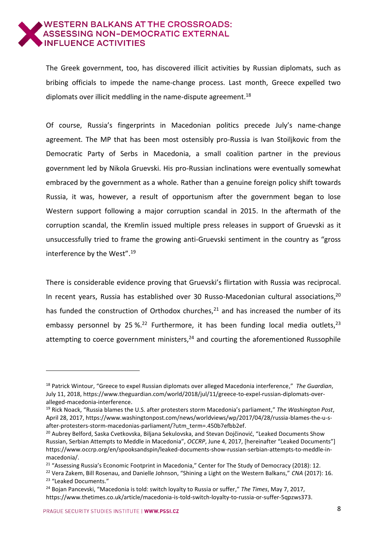The Greek government, too, has discovered illicit activities by Russian diplomats, such as bribing officials to impede the name-change process. Last month, Greece expelled two diplomats over illicit meddling in the name-dispute agreement.<sup>18</sup>

Of course, Russia's fingerprints in Macedonian politics precede July's name-change agreement. The MP that has been most ostensibly pro-Russia is Ivan Stoiljkovic from the Democratic Party of Serbs in Macedonia, a small coalition partner in the previous government led by Nikola Gruevski. His pro-Russian inclinations were eventually somewhat embraced by the government as a whole. Rather than a genuine foreign policy shift towards Russia, it was, however, a result of opportunism after the government began to lose Western support following a major corruption scandal in 2015. In the aftermath of the corruption scandal, the Kremlin issued multiple press releases in support of Gruevski as it unsuccessfully tried to frame the growing anti-Gruevski sentiment in the country as "gross interference by the West".<sup>19</sup>

There is considerable evidence proving that Gruevski's flirtation with Russia was reciprocal. In recent years, Russia has established over 30 Russo-Macedonian cultural associations,<sup>20</sup> has funded the construction of Orthodox churches, $^{21}$  and has increased the number of its embassy personnel by 25 %.<sup>22</sup> Furthermore, it has been funding local media outlets,<sup>23</sup> attempting to coerce government ministers, $24$  and courting the aforementioned Russophile

<sup>18</sup> Patrick Wintour, "Greece to expel Russian diplomats over alleged Macedonia interference," *The Guardian*, July 11, 2018, [https://www.theguardian.com/world/2018/jul/11/greece-to-expel-russian-diplomats-over](https://www.theguardian.com/world/2018/jul/11/greece-to-expel-russian-diplomats-over-alleged-macedonia-interference)[alleged-macedonia-interference.](https://www.theguardian.com/world/2018/jul/11/greece-to-expel-russian-diplomats-over-alleged-macedonia-interference)

<sup>19</sup> Rick Noack, "Russia blames the U.S. after protesters storm Macedonia's parliament," *The Washington Post*, April 28, 2017, [https://www.washingtonpost.com/news/worldviews/wp/2017/04/28/russia-blames-the-u-s](https://www.washingtonpost.com/news/worldviews/wp/2017/04/28/russia-blames-the-u-s-after-protesters-storm-macedonias-parliament/?utm_term=.450b7efbb2ef)[after-protesters-storm-macedonias-parliament/?utm\\_term=.450b7efbb2ef.](https://www.washingtonpost.com/news/worldviews/wp/2017/04/28/russia-blames-the-u-s-after-protesters-storm-macedonias-parliament/?utm_term=.450b7efbb2ef)

<sup>&</sup>lt;sup>20</sup> Aubrey Belford, Saska Cvetkovska, Biljana Sekulovska, and Stevan Dojčinović, "Leaked Documents Show Russian, Serbian Attempts to Meddle in Macedonia", *OCCRP*, June 4, 2017, [hereinafter "Leaked Documents"] https://www.occrp.org/en/spooksandspin/leaked-documents-show-russian-serbian-attempts-to-meddle-inmacedonia/.

<sup>&</sup>lt;sup>21</sup> "Assessing Russia's Economic Footprint in Macedonia," Center for The Study of Democracy (2018): 12.

<sup>22</sup> Vera Zakem, Bill Rosenau, and Danielle Johnson, "Shining a Light on the Western Balkans," *CNA* (2017): 16. <sup>23</sup> "Leaked Documents."

<sup>24</sup> Bojan Pancevski, "Macedonia is told: switch loyalty to Russia or suffer," *The Times*, May 7, 2017, [https://www.thetimes.co.uk/article/macedonia-is-told-switch-loyalty-to-russia-or-suffer-5qpzws373.](https://www.thetimes.co.uk/article/macedonia-is-told-switch-loyalty-to-russia-or-suffer-5qpzws373)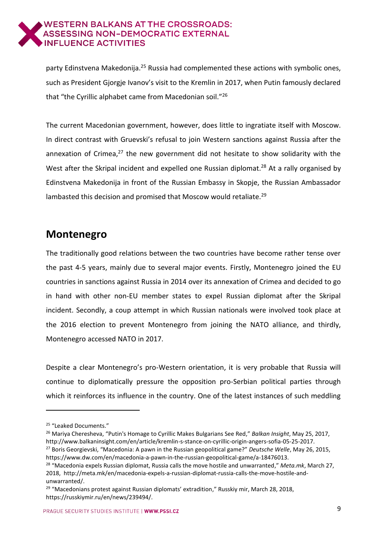party Edinstvena Makedonija.<sup>25</sup> Russia had complemented these actions with symbolic ones, such as President Gjorgje Ivanov's visit to the Kremlin in 2017, when Putin famously declared that "the Cyrillic alphabet came from Macedonian soil."<sup>26</sup>

The current Macedonian government, however, does little to ingratiate itself with Moscow. In direct contrast with Gruevski's refusal to join Western sanctions against Russia after the annexation of Crimea, $27$  the new government did not hesitate to show solidarity with the West after the Skripal incident and expelled one Russian diplomat.<sup>28</sup> At a rally organised by Edinstvena Makedonija in front of the Russian Embassy in Skopje, the Russian Ambassador lambasted this decision and promised that Moscow would retaliate.<sup>29</sup>

### <span id="page-8-0"></span>**Montenegro**

The traditionally good relations between the two countries have become rather tense over the past 4-5 years, mainly due to several major events. Firstly, Montenegro joined the EU countries in sanctions against Russia in 2014 over its annexation of Crimea and decided to go in hand with other non-EU member states to expel Russian diplomat after the Skripal incident. Secondly, a coup attempt in which Russian nationals were involved took place at the 2016 election to prevent Montenegro from joining the NATO alliance, and thirdly, Montenegro accessed NATO in 2017.

Despite a clear Montenegro's pro-Western orientation, it is very probable that Russia will continue to diplomatically pressure the opposition pro-Serbian political parties through which it reinforces its influence in the country. One of the latest instances of such meddling

<sup>&</sup>lt;sup>25</sup> "Leaked Documents."

<sup>26</sup> Mariya Cheresheva, "Putin's Homage to Cyrillic Makes Bulgarians See Red," *Balkan Insight*, May 25, 2017, [http://www.balkaninsight.com/en/article/kremlin-s-stance-on-cyrillic-origin-angers-sofia-05-25-2017.](http://www.balkaninsight.com/en/article/kremlin-s-stance-on-cyrillic-origin-angers-sofia-05-25-2017)

<sup>27</sup> Boris Georgievski, "Macedonia: A pawn in the Russian geopolitical game?" *Deutsche Welle*, May 26, 2015, [https://www.dw.com/en/macedonia-a-pawn-in-the-russian-geopolitical-game/a-18476013.](https://www.dw.com/en/macedonia-a-pawn-in-the-russian-geopolitical-game/a-18476013)

<sup>28</sup> "Macedonia expels Russian diplomat, Russia calls the move hostile and unwarranted," *Meta.mk*, March 27, 2018, [http://meta.mk/en/macedonia-expels-a-russian-diplomat-russia-calls-the-move-hostile-and](http://meta.mk/en/macedonia-expels-a-russian-diplomat-russia-calls-the-move-hostile-and-unwarranted/)[unwarranted/.](http://meta.mk/en/macedonia-expels-a-russian-diplomat-russia-calls-the-move-hostile-and-unwarranted/)

 $29$  "Macedonians protest against Russian diplomats' extradition," Russkiy mir, March 28, 2018, [https://russkiymir.ru/en/news/239494/.](https://russkiymir.ru/en/news/239494/)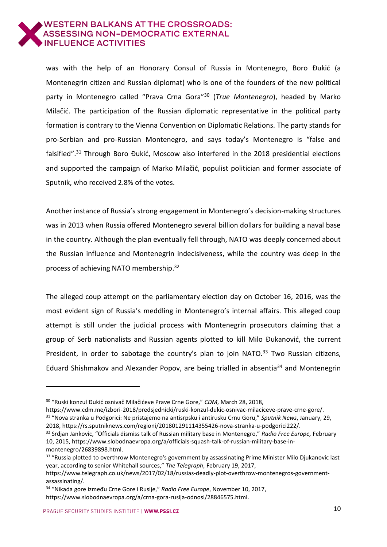

was with the help of an Honorary Consul of Russia in Montenegro, Boro Đukić (a Montenegrin citizen and Russian diplomat) who is one of the founders of the new political party in Montenegro called "Prava Crna Gora"<sup>30</sup> (*True Montenegro*), headed by Marko Milačić. The participation of the Russian diplomatic representative in the political party formation is contrary to the Vienna Convention on Diplomatic Relations. The party stands for pro-Serbian and pro-Russian Montenegro, and says today's Montenegro is "false and falsified".<sup>31</sup> Through Boro Đukić, Moscow also interfered in the 2018 presidential elections and supported the campaign of Marko Milačić, populist politician and former associate of Sputnik, who received 2.8% of the votes.

Another instance of Russia's strong engagement in Montenegro's decision-making structures was in 2013 when Russia offered Montenegro several billion dollars for building a naval base in the country. Although the plan eventually fell through, NATO was deeply concerned about the Russian influence and Montenegrin indecisiveness, while the country was deep in the process of achieving NATO membership.<sup>32</sup>

The alleged coup attempt on the parliamentary election day on October 16, 2016, was the most evident sign of Russia's meddling in Montenegro's internal affairs. This alleged coup attempt is still under the judicial process with Montenegrin prosecutors claiming that a group of Serb nationalists and Russian agents plotted to kill Milo Đukanović, the current President, in order to sabotage the country's plan to join NATO.<sup>33</sup> Two Russian citizens, Eduard Shishmakov and Alexander Popov, are being trialled in absentia<sup>34</sup> and Montenegrin

<sup>30</sup> "Ruski konzul Đukić osnivač Milačićeve Prave Crne Gore," *CDM*, March 28, 2018,

https://www.cdm.me/izbori-2018/predsjednicki/ruski-konzul-dukic-osnivac-milaciceve-prave-crne-gore/. <sup>31</sup> "Nova stranka u Podgorici: Ne pristajemo na antisrpsku i antirusku Crnu Goru," *Sputnik News*, January, 29,

<sup>2018,</sup> https://rs.sputniknews.com/regioni/201801291114355426-nova-stranka-u-podgorici222/.

<sup>32</sup> Srdjan Jankovic, "Officials dismiss talk of Russian military base in Montenegro," *Radio Free Europe,* February 10, 2015, https://www.slobodnaevropa.org/a/officials-squash-talk-of-russian-military-base-inmontenegro/26839898.html.

<sup>33 &</sup>quot;Russia plotted to overthrow Montenegro's government by assassinating Prime Minister Milo Djukanovic last year, according to senior Whitehall sources," *The Telegraph*, February 19, 2017,

https://www.telegraph.co.uk/news/2017/02/18/russias-deadly-plot-overthrow-montenegros-governmentassassinating/.

<sup>34</sup> "Nikada gore između Crne Gore i Rusije," *Radio Free Europe*, November 10, 2017, https://www.slobodnaevropa.org/a/crna-gora-rusija-odnosi/28846575.html.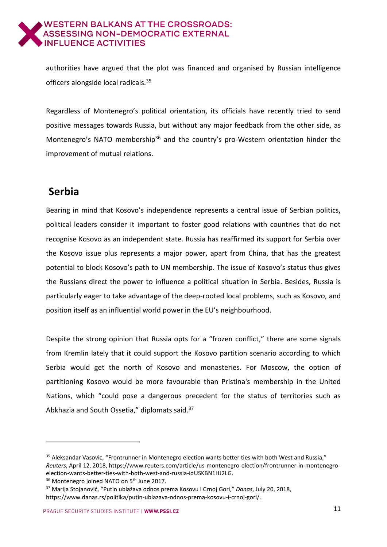

authorities have argued that the plot was financed and organised by Russian intelligence officers alongside local radicals.<sup>35</sup>

Regardless of Montenegro's political orientation, its officials have recently tried to send positive messages towards Russia, but without any major feedback from the other side, as Montenegro's NATO membership<sup>36</sup> and the country's pro-Western orientation hinder the improvement of mutual relations.

## <span id="page-10-0"></span>**Serbia**

-

Bearing in mind that Kosovo's independence represents a central issue of Serbian politics, political leaders consider it important to foster good relations with countries that do not recognise Kosovo as an independent state. Russia has reaffirmed its support for Serbia over the Kosovo issue plus represents a major power, apart from China, that has the greatest potential to block Kosovo's path to UN membership. The issue of Kosovo's status thus gives the Russians direct the power to influence a political situation in Serbia. Besides, Russia is particularly eager to take advantage of the deep-rooted local problems, such as Kosovo, and position itself as an influential world power in the EU's neighbourhood.

Despite the strong opinion that Russia opts for a "frozen conflict," there are some signals from Kremlin lately that it could support the Kosovo partition scenario according to which Serbia would get the north of Kosovo and monasteries. For Moscow, the option of partitioning Kosovo would be more favourable than Pristina's membership in the United Nations, which "could pose a dangerous precedent for the status of territories such as Abkhazia and South Ossetia." diplomats said.<sup>37</sup>

<sup>35</sup> Aleksandar Vasovic, "Frontrunner in Montenegro election wants better ties with both West and Russia," *Reuters*, April 12, 2018, https://www.reuters.com/article/us-montenegro-election/frontrunner-in-montenegroelection-wants-better-ties-with-both-west-and-russia-idUSKBN1HJ2LG.

<sup>&</sup>lt;sup>36</sup> Montenegro joined NATO on 5<sup>th</sup> June 2017.

<sup>37</sup> Marija Stojanović, "Putin ublažava odnos prema Kosovu i Crnoj Gori," *Danas*, July 20, 2018, https://www.danas.rs/politika/putin-ublazava-odnos-prema-kosovu-i-crnoj-gori/.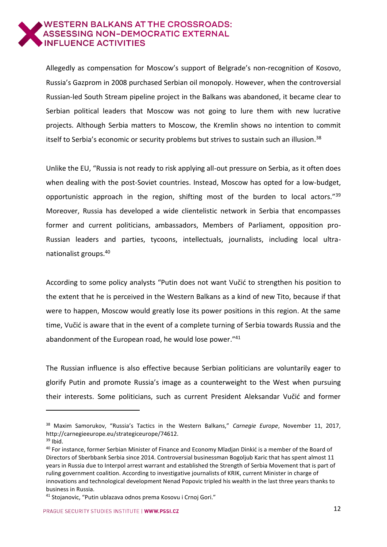

Allegedly as compensation for Moscow's support of Belgrade's non-recognition of Kosovo, Russia's Gazprom in 2008 purchased Serbian oil monopoly. However, when the controversial Russian-led South Stream pipeline project in the Balkans was abandoned, it became clear to Serbian political leaders that Moscow was not going to lure them with new lucrative projects. Although Serbia matters to Moscow, the Kremlin shows no intention to commit itself to Serbia's economic or security problems but strives to sustain such an illusion.<sup>38</sup>

Unlike the EU, "Russia is not ready to risk applying all-out pressure on Serbia, as it often does when dealing with the post-Soviet countries. Instead, Moscow has opted for a low-budget, opportunistic approach in the region, shifting most of the burden to local actors."<sup>39</sup> Moreover, Russia has developed a wide clientelistic network in Serbia that encompasses former and current politicians, ambassadors, Members of Parliament, opposition pro-Russian leaders and parties, tycoons, intellectuals, journalists, including local ultranationalist groups.<sup>40</sup>

According to some policy analysts "Putin does not want Vučić to strengthen his position to the extent that he is perceived in the Western Balkans as a kind of new Tito, because if that were to happen, Moscow would greatly lose its power positions in this region. At the same time, Vučić is aware that in the event of a complete turning of Serbia towards Russia and the abandonment of the European road, he would lose power."<sup>41</sup>

The Russian influence is also effective because Serbian politicians are voluntarily eager to glorify Putin and promote Russia's image as a counterweight to the West when pursuing their interests. Some politicians, such as current President Aleksandar Vučić and former

<sup>38</sup> Maxim Samorukov, "Russia's Tactics in the Western Balkans," *Carnegie Europe*, November 11, 2017, http://carnegieeurope.eu/strategiceurope/74612.

 $39$  Ibid.

<sup>40</sup> For instance, former Serbian Minister of Finance and Economy Mladjan Dinkić is a member of the Board of Directors of Sberbbank Serbia since 2014. Controversial businessman Bogoljub Karic that has spent almost 11 years in Russia due to Interpol arrest warrant and established the Strength of Serbia Movement that is part of ruling government coalition. According to investigative journalists of KRIK, current Minister in charge of innovations and technological development Nenad Popovic tripled his wealth in the last three years thanks to business in Russia.

<sup>41</sup> Stojanovic, "Putin ublazava odnos prema Kosovu i Crnoj Gori."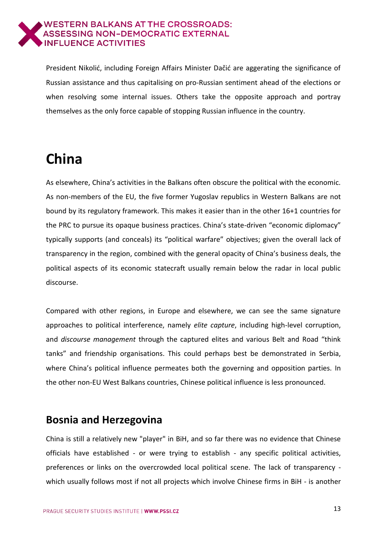

President Nikolić, including Foreign Affairs Minister Dačić are aggerating the significance of Russian assistance and thus capitalising on pro-Russian sentiment ahead of the elections or when resolving some internal issues. Others take the opposite approach and portray themselves as the only force capable of stopping Russian influence in the country.

# <span id="page-12-0"></span>**China**

As elsewhere, China's activities in the Balkans often obscure the political with the economic. As non-members of the EU, the five former Yugoslav republics in Western Balkans are not bound by its regulatory framework. This makes it easier than in the other 16+1 countries for the PRC to pursue its opaque business practices. China's state-driven "economic diplomacy" typically supports (and conceals) its "political warfare" objectives; given the overall lack of transparency in the region, combined with the general opacity of China's business deals, the political aspects of its economic statecraft usually remain below the radar in local public discourse.

Compared with other regions, in Europe and elsewhere, we can see the same signature approaches to political interference, namely *elite capture*, including high-level corruption, and *discourse management* through the captured elites and various Belt and Road "think tanks" and friendship organisations. This could perhaps best be demonstrated in Serbia, where China's political influence permeates both the governing and opposition parties. In the other non-EU West Balkans countries, Chinese political influence is less pronounced.

#### <span id="page-12-1"></span>**Bosnia and Herzegovina**

China is still a relatively new "player" in BiH, and so far there was no evidence that Chinese officials have established - or were trying to establish - any specific political activities, preferences or links on the overcrowded local political scene. The lack of transparency which usually follows most if not all projects which involve Chinese firms in BiH - is another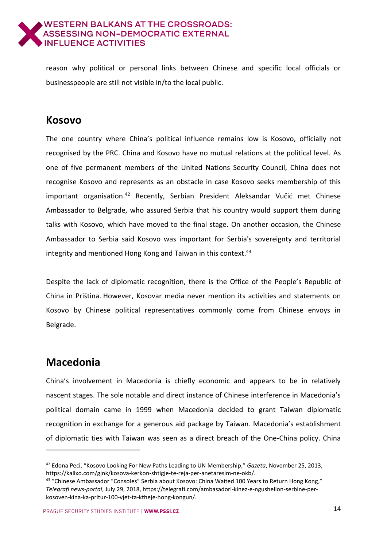

reason why political or personal links between Chinese and specific local officials or businesspeople are still not visible in/to the local public.

#### <span id="page-13-0"></span>**Kosovo**

The one country where China's political influence remains low is Kosovo, officially not recognised by the PRC. China and Kosovo have no mutual relations at the political level. As one of five permanent members of the United Nations Security Council, China does not recognise Kosovo and represents as an obstacle in case Kosovo seeks membership of this important organisation. <sup>42</sup> Recently, Serbian President Aleksandar Vučić met Chinese Ambassador to Belgrade, who assured Serbia that his country would support them during talks with Kosovo, which have moved to the final stage. On another occasion, the Chinese Ambassador to Serbia said Kosovo was important for Serbia's sovereignty and territorial integrity and mentioned Hong Kong and Taiwan in this context. 43

Despite the lack of diplomatic recognition, there is the Office of the People's Republic of China in Priština. However, Kosovar media never mention its activities and statements on Kosovo by Chinese political representatives commonly come from Chinese envoys in Belgrade.

### <span id="page-13-1"></span>**Macedonia**

-

China's involvement in Macedonia is chiefly economic and appears to be in relatively nascent stages. The sole notable and direct instance of Chinese interference in Macedonia's political domain came in 1999 when Macedonia decided to grant Taiwan diplomatic recognition in exchange for a generous aid package by Taiwan. Macedonia's establishment of diplomatic ties with Taiwan was seen as a direct breach of the One-China policy. China

<sup>42</sup> Edona Peci, "Kosovo Looking For New Paths Leading to UN Membership," *Gazeta*, November 25, 2013, https://kallxo.com/gjnk/kosova-kerkon-shtigje-te-reja-per-anetaresim-ne-okb/.

<sup>43</sup> "Chinese Ambassador "Consoles" Serbia about Kosovo: China Waited 100 Years to Return Hong Kong," *Telegrafi news-portal*, July 29, 2018, https://telegrafi.com/ambasadori-kinez-e-ngushellon-serbine-perkosoven-kina-ka-pritur-100-vjet-ta-ktheje-hong-kongun/.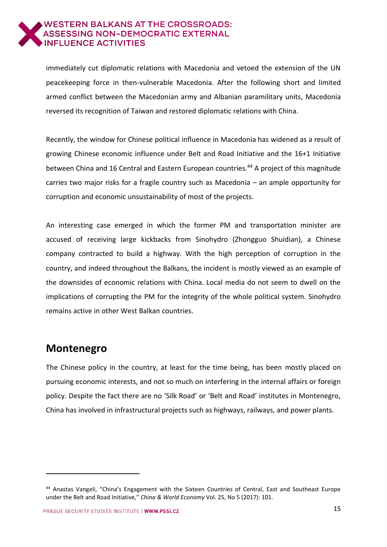

immediately cut diplomatic relations with Macedonia and vetoed the extension of the UN peacekeeping force in then-vulnerable Macedonia. After the following short and limited armed conflict between the Macedonian army and Albanian paramilitary units, Macedonia reversed its recognition of Taiwan and restored diplomatic relations with China.

Recently, the window for Chinese political influence in Macedonia has widened as a result of growing Chinese economic influence under Belt and Road Initiative and the 16+1 Initiative between China and 16 Central and Eastern European countries.<sup>44</sup> A project of this magnitude carries two major risks for a fragile country such as Macedonia – an ample opportunity for corruption and economic unsustainability of most of the projects.

An interesting case emerged in which the former PM and transportation minister are accused of receiving large kickbacks from Sinohydro (Zhongguo Shuidian), a Chinese company contracted to build a highway. With the high perception of corruption in the country, and indeed throughout the Balkans, the incident is mostly viewed as an example of the downsides of economic relations with China. Local media do not seem to dwell on the implications of corrupting the PM for the integrity of the whole political system. Sinohydro remains active in other West Balkan countries.

#### <span id="page-14-0"></span>**Montenegro**

-

The Chinese policy in the country, at least for the time being, has been mostly placed on pursuing economic interests, and not so much on interfering in the internal affairs or foreign policy. Despite the fact there are no 'Silk Road' or 'Belt and Road' institutes in Montenegro, China has involved in infrastructural projects such as highways, railways, and power plants.

<sup>44</sup> Anastas Vangeli, "China's Engagement with the Sixteen Countries of Central, East and Southeast Europe under the Belt and Road Initiative," *China & World Economy* Vol. 25, No 5 (2017): 101.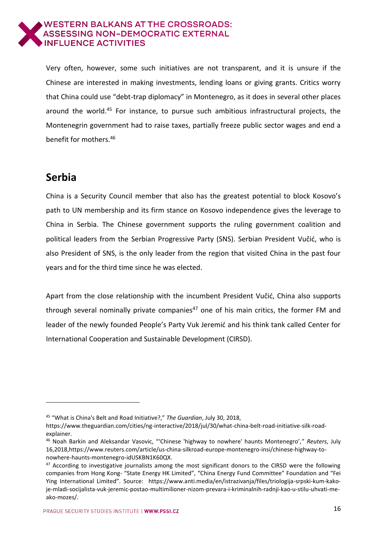

Very often, however, some such initiatives are not transparent, and it is unsure if the Chinese are interested in making investments, lending loans or giving grants. Critics worry that China could use "debt-trap diplomacy" in Montenegro, as it does in several other places around the world. <sup>45</sup> For instance, to pursue such ambitious infrastructural projects, the Montenegrin government had to raise taxes, partially freeze public sector wages and end a benefit for mothers.<sup>46</sup>

#### <span id="page-15-0"></span>**Serbia**

-

China is a Security Council member that also has the greatest potential to block Kosovo's path to UN membership and its firm stance on Kosovo independence gives the leverage to China in Serbia. The Chinese government supports the ruling government coalition and political leaders from the Serbian Progressive Party (SNS). Serbian President Vučić, who is also President of SNS, is the only leader from the region that visited China in the past four years and for the third time since he was elected.

Apart from the close relationship with the incumbent President Vučić, China also supports through several nominally private companies<sup>47</sup> one of his main critics, the former FM and leader of the newly founded People's Party Vuk Jeremić and his think tank called Center for International Cooperation and Sustainable Development (CIRSD).

<sup>45</sup> "What is China's Belt and Road Initiative?," *The Guardian*, July 30, 2018,

https://www.theguardian.com/cities/ng-interactive/2018/jul/30/what-china-belt-road-initiative-silk-roadexplainer.

<sup>46</sup> Noah Barkin and Aleksandar Vasovic, "'Chinese 'highway to nowhere' haunts Montenegro'," *Reuters*, July 16,2018,https://www.reuters.com/article/us-china-silkroad-europe-montenegro-insi/chinese-highway-tonowhere-haunts-montenegro-idUSKBN1K60QX.

 $47$  According to investigative journalists among the most significant donors to the CIRSD were the following companies from Hong Kong- "State Energy HK Limited", "China Energy Fund Committee" Foundation and "Fei Ying International Limited". Source: https://www.anti.media/en/istrazivanja/files/triologija-srpski-kum-kakoje-mladi-socijalista-vuk-jeremic-postao-multimilioner-nizom-prevara-i-kriminalnih-radnji-kao-u-stilu-uhvati-meako-mozes/.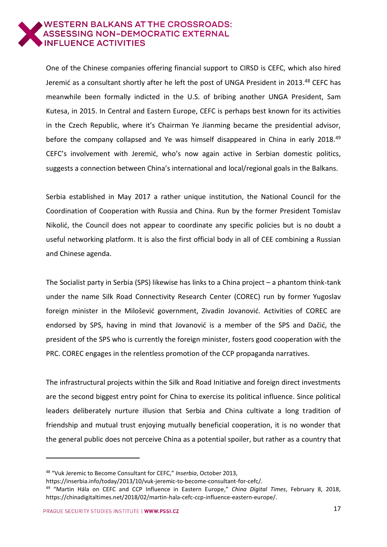

One of the Chinese companies offering financial support to CIRSD is CEFC, which also hired Jeremić as a consultant shortly after he left the post of UNGA President in 2013.<sup>48</sup> CEFC has meanwhile been formally indicted in the U.S. of bribing another UNGA President, Sam Kutesa, in 2015. In Central and Eastern Europe, CEFC is perhaps best known for its activities in the Czech Republic, where it's Chairman Ye Jianming became the presidential advisor, before the company collapsed and Ye was himself disappeared in China in early 2018.<sup>49</sup> CEFC's involvement with Jeremić, who's now again active in Serbian domestic politics, suggests a connection between China's international and local/regional goals in the Balkans.

Serbia established in May 2017 a rather unique institution, the National Council for the Coordination of Cooperation with Russia and China. Run by the former President Tomislav Nikolić, the Council does not appear to coordinate any specific policies but is no doubt a useful networking platform. It is also the first official body in all of CEE combining a Russian and Chinese agenda.

The Socialist party in Serbia (SPS) likewise has links to a China project – a phantom think-tank under the name Silk Road Connectivity Research Center (COREC) run by former Yugoslav foreign minister in the Milošević government, Zivadin Jovanović. Activities of COREC are endorsed by SPS, having in mind that Jovanović is a member of the SPS and Dačić, the president of the SPS who is currently the foreign minister, fosters good cooperation with the PRC. COREC engages in the relentless promotion of the CCP propaganda narratives.

The infrastructural projects within the Silk and Road Initiative and foreign direct investments are the second biggest entry point for China to exercise its political influence. Since political leaders deliberately nurture illusion that Serbia and China cultivate a long tradition of friendship and mutual trust enjoying mutually beneficial cooperation, it is no wonder that the general public does not perceive China as a potential spoiler, but rather as a country that

<sup>48</sup> "Vuk Jeremic to Become Consultant for CEFC," *Inserbia*, October 2013,

https://inserbia.info/today/2013/10/vuk-jeremic-to-become-consultant-for-cefc/.

<sup>49</sup> "Martin Hála on CEFC and CCP Influence in Eastern Europe," *China Digital Times*, February 8, 2018, https://chinadigitaltimes.net/2018/02/martin-hala-cefc-ccp-influence-eastern-europe/.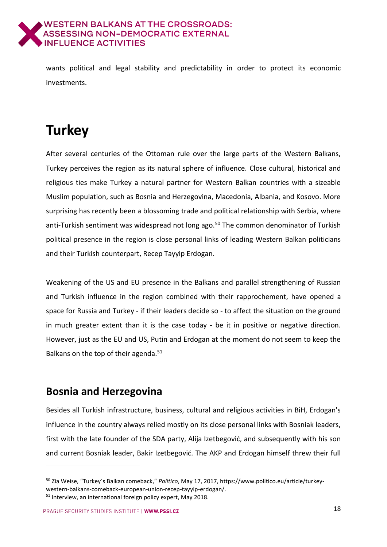

wants political and legal stability and predictability in order to protect its economic investments.

# <span id="page-17-0"></span>**Turkey**

After several centuries of the Ottoman rule over the large parts of the Western Balkans, Turkey perceives the region as its natural sphere of influence. Close cultural, historical and religious ties make Turkey a natural partner for Western Balkan countries with a sizeable Muslim population, such as Bosnia and Herzegovina, Macedonia, Albania, and Kosovo. More surprising has recently been a blossoming trade and political relationship with Serbia, where anti-Turkish sentiment was widespread not long ago.<sup>50</sup> The common denominator of Turkish political presence in the region is close personal links of leading Western Balkan politicians and their Turkish counterpart, Recep Tayyip Erdogan.

Weakening of the US and EU presence in the Balkans and parallel strengthening of Russian and Turkish influence in the region combined with their rapprochement, have opened a space for Russia and Turkey - if their leaders decide so - to affect the situation on the ground in much greater extent than it is the case today - be it in positive or negative direction. However, just as the EU and US, Putin and Erdogan at the moment do not seem to keep the Balkans on the top of their agenda.<sup>51</sup>

### <span id="page-17-1"></span>**Bosnia and Herzegovina**

-

Besides all Turkish infrastructure, business, cultural and religious activities in BiH, Erdogan's influence in the country always relied mostly on its close personal links with Bosniak leaders, first with the late founder of the SDA party, Alija Izetbegović, and subsequently with his son and current Bosniak leader, Bakir Izetbegović. The AKP and Erdogan himself threw their full

<sup>50</sup> Zia Weise, "Turkey´s Balkan comeback," *Politico*, May 17, 2017, https://www.politico.eu/article/turkeywestern-balkans-comeback-european-union-recep-tayyip-erdogan/.

<sup>&</sup>lt;sup>51</sup> Interview, an international foreign policy expert, May 2018.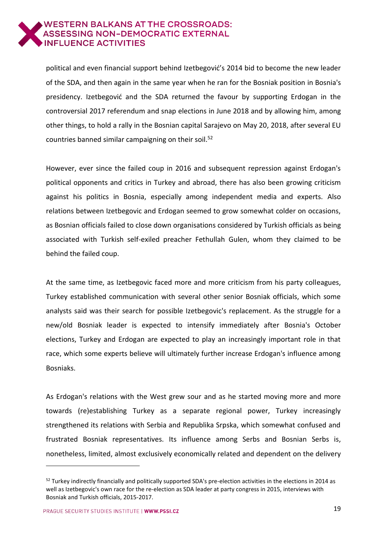

political and even financial support behind Izetbegović's 2014 bid to become the new leader of the SDA, and then again in the same year when he ran for the Bosniak position in Bosnia's presidency. Izetbegović and the SDA returned the favour by supporting Erdogan in the controversial 2017 referendum and snap elections in June 2018 and by allowing him, among other things, to hold a rally in the Bosnian capital Sarajevo on May 20, 2018, after several EU countries banned similar campaigning on their soil.<sup>52</sup>

However, ever since the failed coup in 2016 and subsequent repression against Erdogan's political opponents and critics in Turkey and abroad, there has also been growing criticism against his politics in Bosnia, especially among independent media and experts. Also relations between Izetbegovic and Erdogan seemed to grow somewhat colder on occasions, as Bosnian officials failed to close down organisations considered by Turkish officials as being associated with Turkish self-exiled preacher Fethullah Gulen, whom they claimed to be behind the failed coup.

At the same time, as Izetbegovic faced more and more criticism from his party colleagues, Turkey established communication with several other senior Bosniak officials, which some analysts said was their search for possible Izetbegovic's replacement. As the struggle for a new/old Bosniak leader is expected to intensify immediately after Bosnia's October elections, Turkey and Erdogan are expected to play an increasingly important role in that race, which some experts believe will ultimately further increase Erdogan's influence among Bosniaks.

As Erdogan's relations with the West grew sour and as he started moving more and more towards (re)establishing Turkey as a separate regional power, Turkey increasingly strengthened its relations with Serbia and Republika Srpska, which somewhat confused and frustrated Bosniak representatives. Its influence among Serbs and Bosnian Serbs is, nonetheless, limited, almost exclusively economically related and dependent on the delivery

 $52$  Turkey indirectly financially and politically supported SDA's pre-election activities in the elections in 2014 as well as Izetbegovic's own race for the re-election as SDA leader at party congress in 2015, interviews with Bosniak and Turkish officials, 2015-2017.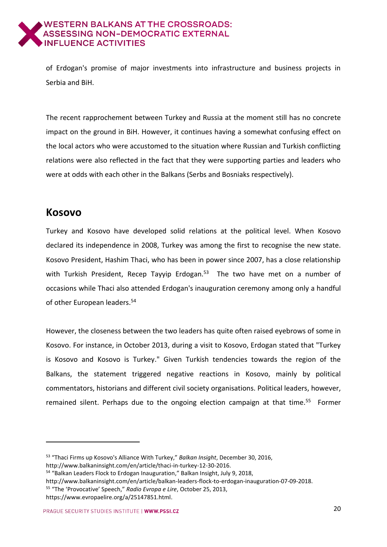

of Erdogan's promise of major investments into infrastructure and business projects in Serbia and BiH.

The recent rapprochement between Turkey and Russia at the moment still has no concrete impact on the ground in BiH. However, it continues having a somewhat confusing effect on the local actors who were accustomed to the situation where Russian and Turkish conflicting relations were also reflected in the fact that they were supporting parties and leaders who were at odds with each other in the Balkans (Serbs and Bosniaks respectively).

#### <span id="page-19-0"></span>**Kosovo**

-

Turkey and Kosovo have developed solid relations at the political level. When Kosovo declared its independence in 2008, Turkey was among the first to recognise the new state. Kosovo President, Hashim Thaci, who has been in power since 2007, has a close relationship with Turkish President, Recep Tayyip Erdogan.<sup>53</sup> The two have met on a number of occasions while Thaci also attended Erdogan's inauguration ceremony among only a handful of other European leaders.<sup>54</sup>

However, the closeness between the two leaders has quite often raised eyebrows of some in Kosovo. For instance, in October 2013, during a visit to Kosovo, Erdogan stated that "Turkey is Kosovo and Kosovo is Turkey." Given Turkish tendencies towards the region of the Balkans, the statement triggered negative reactions in Kosovo, mainly by political commentators, historians and different civil society organisations. Political leaders, however, remained silent. Perhaps due to the ongoing election campaign at that time.<sup>55</sup> Former

<sup>53</sup> "Thaci Firms up Kosovo's Alliance With Turkey," *Balkan Insight*, December 30, 2016, http://www.balkaninsight.com/en/article/thaci-in-turkey-12-30-2016.

<sup>54</sup> "Balkan Leaders Flock to Erdogan Inauguration," Balkan Insight, July 9, 2018,

http://www.balkaninsight.com/en/article/balkan-leaders-flock-to-erdogan-inauguration-07-09-2018.

<sup>55</sup> "The 'Provocative' Speech," *Radio Evropa e Lire*, October 25, 2013,

https://www.evropaelire.org/a/25147851.html.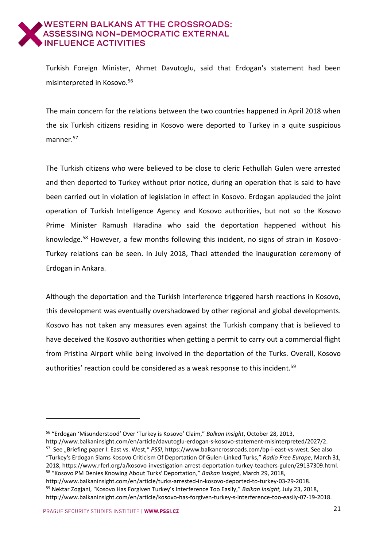Turkish Foreign Minister, Ahmet Davutoglu, said that Erdogan's statement had been misinterpreted in Kosovo.<sup>56</sup>

The main concern for the relations between the two countries happened in April 2018 when the six Turkish citizens residing in Kosovo were deported to Turkey in a quite suspicious manner.<sup>57</sup>

The Turkish citizens who were believed to be close to cleric Fethullah Gulen were arrested and then deported to Turkey without prior notice, during an operation that is said to have been carried out in violation of legislation in effect in Kosovo. Erdogan applauded the joint operation of Turkish Intelligence Agency and Kosovo authorities, but not so the Kosovo Prime Minister Ramush Haradina who said the deportation happened without his knowledge. <sup>58</sup> However, a few months following this incident, no signs of strain in Kosovo-Turkey relations can be seen. In July 2018, Thaci attended the inauguration ceremony of Erdogan in Ankara.

Although the deportation and the Turkish interference triggered harsh reactions in Kosovo, this development was eventually overshadowed by other regional and global developments. Kosovo has not taken any measures even against the Turkish company that is believed to have deceived the Kosovo authorities when getting a permit to carry out a commercial flight from Pristina Airport while being involved in the deportation of the Turks. Overall, Kosovo authorities' reaction could be considered as a weak response to this incident.<sup>59</sup>

<sup>56</sup> "Erdogan 'Misunderstood' Over 'Turkey is Kosovo' Claim," *Balkan Insight*, October 28, 2013,

http://www.balkaninsight.com/en/article/davutoglu-erdogan-s-kosovo-statement-misinterpreted/2027/2. <sup>57</sup> See "Briefing paper I: East vs. West," PSSI, https://www.balkancrossroads.com/bp-i-east-vs-west. See also "Turkey's Erdogan Slams Kosovo Criticism Of Deportation Of Gulen-Linked Turks," *Radio Free Europe*, March 31, 2018, https://www.rferl.org/a/kosovo-investigation-arrest-deportation-turkey-teachers-gulen/29137309.html. <sup>58</sup> "Kosovo PM Denies Knowing About Turks' Deportation," *Balkan Insight*, March 29, 2018,

http://www.balkaninsight.com/en/article/turks-arrested-in-kosovo-deported-to-turkey-03-29-2018. <sup>59</sup> Nektar Zogjani, "Kosovo Has Forgiven Turkey's Interference Too Easily," *Balkan Insight,* July 23, 2018, http://www.balkaninsight.com/en/article/kosovo-has-forgiven-turkey-s-interference-too-easily-07-19-2018.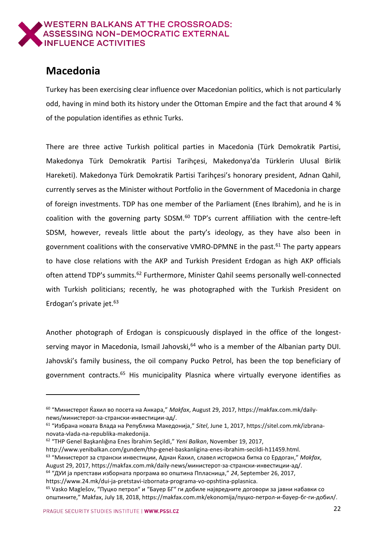

### <span id="page-21-0"></span>**Macedonia**

Turkey has been exercising clear influence over Macedonian politics, which is not particularly odd, having in mind both its history under the Ottoman Empire and the fact that around 4 % of the population identifies as ethnic Turks.

There are three active Turkish political parties in Macedonia (Türk Demokratik Partisi, Makedonya Türk Demokratik Partisi Tarihçesi, Makedonya'da Türklerin Ulusal Birlik Hareketi). Makedonya Türk Demokratik Partisi Tarihçesi's honorary president, Adnan Qahil, currently serves as the Minister without Portfolio in the Government of Macedonia in charge of foreign investments. TDP has one member of the Parliament (Enes Ibrahim), and he is in coalition with the governing party SDSM.<sup>60</sup> TDP's current affiliation with the centre-left SDSM, however, reveals little about the party's ideology, as they have also been in government coalitions with the conservative VMRO-DPMNE in the past. $61$  The party appears to have close relations with the AKP and Turkish President Erdogan as high AKP officials often attend TDP's summits.<sup>62</sup> Furthermore, Minister Qahil seems personally well-connected with Turkish politicians; recently, he was photographed with the Turkish President on Erdogan's private jet.<sup>63</sup>

Another photograph of Erdogan is conspicuously displayed in the office of the longestserving mayor in Macedonia, Ismail Jahovski,<sup>64</sup> who is a member of the Albanian party DUI. Jahovski's family business, the oil company Pucko Petrol, has been the top beneficiary of government contracts.<sup>65</sup> His municipality Plasnica where virtually everyone identifies as

August 29, 2017, [https://makfax.com.mk/daily-news](https://makfax.com.mk/daily-news/%D0%BC%D0%B8%D0%BD%D0%B8%D1%81%D1%82%D0%B5%D1%80%D0%BE%D1%82-%D0%B7%D0%B0-%D1%81%D1%82%D1%80%D0%B0%D0%BD%D1%81%D0%BA%D0%B8-%D0%B8%D0%BD%D0%B2%D0%B5%D1%81%D1%82%D0%B8%D1%86%D0%B8%D0%B8-%D0%B0%D0%B4/)/министерот-за-странски-инвестиции-ад/. <sup>64</sup> "ДУИ ја претстави изборната програма во општина Ппласница," *24*, September 26, 2017,

<sup>&</sup>lt;sup>60</sup> "Министерот Ќахил во посета на Анкара," *Makfax*, August 29, 2017, https://makfax.com.mk/dailynews/министерот-за-странски-инвестиции-ад/.

<sup>61</sup> "Избрана новата Влада на Република Македонија," *Sitel*, June 1, 2017[, https://sitel.com.mk/izbrana](https://sitel.com.mk/izbrana-novata-vlada-na-republika-makedonija)[novata-vlada-na-republika-makedonija.](https://sitel.com.mk/izbrana-novata-vlada-na-republika-makedonija)

<sup>62</sup> "THP Genel Başkanlığına Enes İbrahim Seçildi," *Yeni Balkan*, November 19, 2017,

http://www.yenibalkan.com/gundem/thp-genel-baskanligina-enes-ibrahim-secildi-h11459.html. <sup>63</sup> "Министерот за странски инвестиции, Аднан Ќахил, славел историска битка со Ердоган," *Makfax*,

[https://www.24.mk/dui-ja-pretstavi-izbornata-programa-vo-opshtina-pplasnica.](https://www.24.mk/dui-ja-pretstavi-izbornata-programa-vo-opshtina-pplasnica)

<sup>&</sup>lt;sup>65</sup> Vasko Maglešov, "Пуцко петрол" и "Бауер БГ" ги добиле највредните договори за јавни набавки со општините," Makfax, July 18, 2018, https://makfax.com.mk/ekonomija/пуцко-петрол-и-бауер-бг-ги-добил/.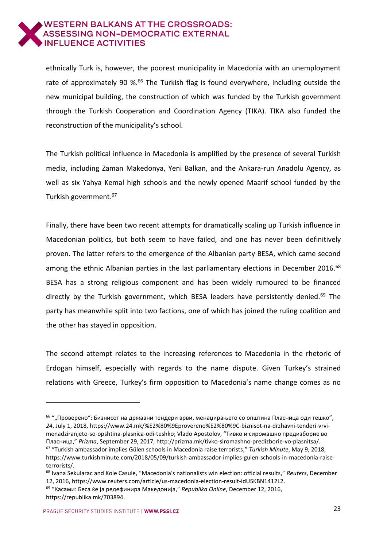

ethnically Turk is, however, the poorest municipality in Macedonia with an unemployment rate of approximately 90 %.<sup>66</sup> The Turkish flag is found everywhere, including outside the new municipal building, the construction of which was funded by the Turkish government through the Turkish Cooperation and Coordination Agency (TIKA). TIKA also funded the reconstruction of the municipality's school.

The Turkish political influence in Macedonia is amplified by the presence of several Turkish media, including Zaman Makedonya, Yeni Balkan, and the Ankara-run Anadolu Agency, as well as six Yahya Kemal high schools and the newly opened Maarif school funded by the Turkish government. 67

Finally, there have been two recent attempts for dramatically scaling up Turkish influence in Macedonian politics, but both seem to have failed, and one has never been definitively proven. The latter refers to the emergence of the Albanian party BESA, which came second among the ethnic Albanian parties in the last parliamentary elections in December 2016.<sup>68</sup> BESA has a strong religious component and has been widely rumoured to be financed directly by the Turkish government, which BESA leaders have persistently denied.<sup>69</sup> The party has meanwhile split into two factions, one of which has joined the ruling coalition and the other has stayed in opposition.

The second attempt relates to the increasing references to Macedonia in the rhetoric of Erdogan himself, especially with regards to the name dispute. Given Turkey's strained relations with Greece, Turkey's firm opposition to Macedonia's name change comes as no

 $66$  ""Проверено": Бизнисот на државни тендери врви, менаџирањето со општина Пласница оди тешко", *24*, July 1, 2018, [https://www.24.mk/%E2%80%9Eprovereno%E2%80%9C-biznisot-na-drzhavni-tenderi-vrvi](https://www.24.mk/%E2%80%9Eprovereno%E2%80%9C-biznisot-na-drzhavni-tenderi-vrvi-menadziranjeto-so-opshtina-plasnica-odi-teshko)[menadziranjeto-so-opshtina-plasnica-odi-teshko;](https://www.24.mk/%E2%80%9Eprovereno%E2%80%9C-biznisot-na-drzhavni-tenderi-vrvi-menadziranjeto-so-opshtina-plasnica-odi-teshko) Vlado Apostolov, "Тивко и сиромашно предизборие во Пласница," *Prizma*, September 29, 2017, http://prizma.mk/tivko-siromashno-predizborie-vo-plasnitsa/. <sup>67</sup> "Turkish ambassador implies Gülen schools in Macedonia raise terrorists," *Turkish Minute*, May 9, 2018,

[https://www.turkishminute.com/2018/05/09/turkish-ambassador-implies-gulen-schools-in-macedonia-raise](https://www.turkishminute.com/2018/05/09/turkish-ambassador-implies-gulen-schools-in-macedonia-raise-terrorists/)[terrorists/.](https://www.turkishminute.com/2018/05/09/turkish-ambassador-implies-gulen-schools-in-macedonia-raise-terrorists/)

<sup>68</sup> Ivana Sekularac and Kole Casule, "Macedonia's nationalists win election: official results," *Reuters*, December 12, 2016, [https://www.reuters.com/article/us-macedonia-election-result-idUSKBN1412L2.](https://www.reuters.com/article/us-macedonia-election-result-idUSKBN1412L2)

<sup>69</sup> "Касами: Беса ќе ја редефинира Македонија," *Republika Online*, December 12, 2016, [https://republika.mk/703894.](https://republika.mk/703894)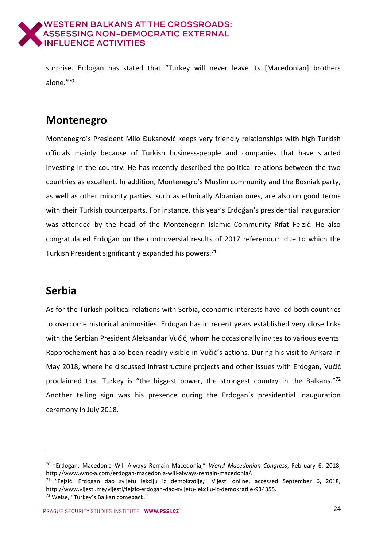

surprise. Erdogan has stated that "Turkey will never leave its [Macedonian] brothers alone."<sup>70</sup>

### <span id="page-23-0"></span>**Montenegro**

Montenegro's President Milo Đukanović keeps very friendly relationships with high Turkish officials mainly because of Turkish business-people and companies that have started investing in the country. He has recently described the political relations between the two countries as excellent. In addition, Montenegro's Muslim community and the Bosniak party, as well as other minority parties, such as ethnically Albanian ones, are also on good terms with their Turkish counterparts. For instance, this year's Erdoğan's presidential inauguration was attended by the head of the Montenegrin Islamic Community Rifat Fejzić. He also congratulated Erdoğan on the controversial results of 2017 referendum due to which the Turkish President significantly expanded his powers.<sup>71</sup>

### <span id="page-23-1"></span>**Serbia**

-

As for the Turkish political relations with Serbia, economic interests have led both countries to overcome historical animosities. Erdogan has in recent years established very close links with the Serbian President Aleksandar Vučić, whom he occasionally invites to various events. Rapprochement has also been readily visible in Vučić´s actions. During his visit to Ankara in May 2018, where he discussed infrastructure projects and other issues with Erdogan, Vučić proclaimed that Turkey is "the biggest power, the strongest country in the Balkans."<sup>72</sup> Another telling sign was his presence during the Erdogan´s presidential inauguration ceremony in July 2018.

<sup>70</sup> "Erdogan: Macedonia Will Always Remain Macedonia," *World Macedonian Congress*, February 6, 2018, http://www.wmc-a.com/erdogan-macedonia-will-always-remain-macedonia/.

<sup>71</sup> "Fejzić: Erdogan dao svijetu lekciju iz demokratije," Vijesti online, accessed September 6, 2018, http://www.vijesti.me/vijesti/fejzic-erdogan-dao-svijetu-lekciju-iz-demokratije-934355. <sup>72</sup> Weise, "Turkey´s Balkan comeback."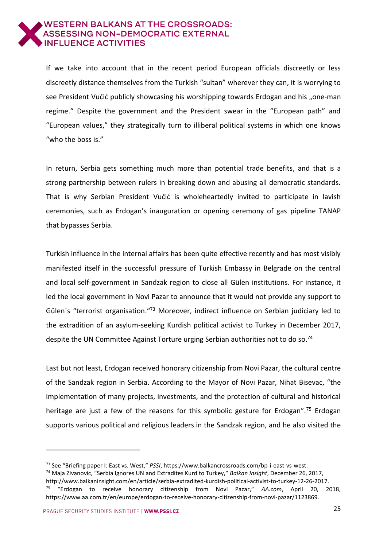

If we take into account that in the recent period European officials discreetly or less discreetly distance themselves from the Turkish "sultan" wherever they can, it is worrying to see President Vučić publicly showcasing his worshipping towards Erdogan and his "one-man regime." Despite the government and the President swear in the "European path" and "European values," they strategically turn to illiberal political systems in which one knows "who the boss is."

In return, Serbia gets something much more than potential trade benefits, and that is a strong partnership between rulers in breaking down and abusing all democratic standards. That is why Serbian President Vučić is wholeheartedly invited to participate in lavish ceremonies, such as Erdogan's inauguration or opening ceremony of gas pipeline TANAP that bypasses Serbia.

Turkish influence in the internal affairs has been quite effective recently and has most visibly manifested itself in the successful pressure of Turkish Embassy in Belgrade on the central and local self-government in Sandzak region to close all Gülen institutions. For instance, it led the local government in Novi Pazar to announce that it would not provide any support to Gülen's "terrorist organisation."<sup>73</sup> Moreover, indirect influence on Serbian judiciary led to the extradition of an asylum-seeking Kurdish political activist to Turkey in December 2017, despite the UN Committee Against Torture urging Serbian authorities not to do so.<sup>74</sup>

Last but not least, Erdogan received honorary citizenship from Novi Pazar, the cultural centre of the Sandzak region in Serbia. According to the Mayor of Novi Pazar, Nihat Bisevac, "the implementation of many projects, investments, and the protection of cultural and historical heritage are just a few of the reasons for this symbolic gesture for Erdogan".<sup>75</sup> Erdogan supports various political and religious leaders in the Sandzak region, and he also visited the

<sup>73</sup> See "Briefing paper I: East vs. West," *PSSI*, https://www.balkancrossroads.com/bp-i-east-vs-west.

<sup>74</sup> Maja Zivanovic, "Serbia Ignores UN and Extradites Kurd to Turkey," *Balkan Insight*, December 26, 2017, http://www.balkaninsight.com/en/article/serbia-extradited-kurdish-political-activist-to-turkey-12-26-2017.

<sup>75</sup> "Erdogan to receive honorary citizenship from Novi Pazar," *AA.com*, April 20, 2018, https://www.aa.com.tr/en/europe/erdogan-to-receive-honorary-citizenship-from-novi-pazar/1123869.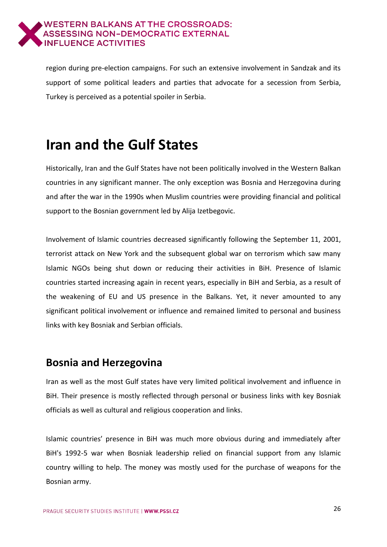

region during pre-election campaigns. For such an extensive involvement in Sandzak and its support of some political leaders and parties that advocate for a secession from Serbia, Turkey is perceived as a potential spoiler in Serbia.

# <span id="page-25-0"></span>**Iran and the Gulf States**

Historically, Iran and the Gulf States have not been politically involved in the Western Balkan countries in any significant manner. The only exception was Bosnia and Herzegovina during and after the war in the 1990s when Muslim countries were providing financial and political support to the Bosnian government led by Alija Izetbegovic.

Involvement of Islamic countries decreased significantly following the September 11, 2001, terrorist attack on New York and the subsequent global war on terrorism which saw many Islamic NGOs being shut down or reducing their activities in BiH. Presence of Islamic countries started increasing again in recent years, especially in BiH and Serbia, as a result of the weakening of EU and US presence in the Balkans. Yet, it never amounted to any significant political involvement or influence and remained limited to personal and business links with key Bosniak and Serbian officials.

#### <span id="page-25-1"></span>**Bosnia and Herzegovina**

Iran as well as the most Gulf states have very limited political involvement and influence in BiH. Their presence is mostly reflected through personal or business links with key Bosniak officials as well as cultural and religious cooperation and links.

Islamic countries' presence in BiH was much more obvious during and immediately after BiH's 1992-5 war when Bosniak leadership relied on financial support from any Islamic country willing to help. The money was mostly used for the purchase of weapons for the Bosnian army.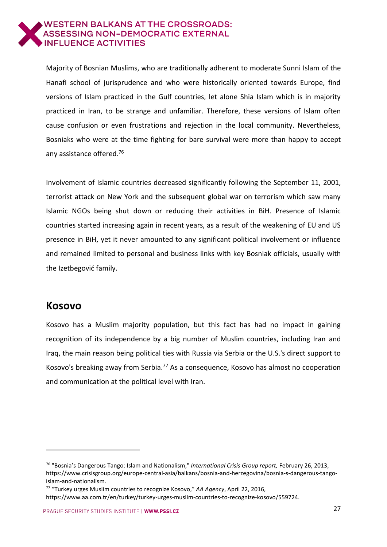

Majority of Bosnian Muslims, who are traditionally adherent to moderate Sunni Islam of the Hanafi school of jurisprudence and who were historically oriented towards Europe, find versions of Islam practiced in the Gulf countries, let alone Shia Islam which is in majority practiced in Iran, to be strange and unfamiliar. Therefore, these versions of Islam often cause confusion or even frustrations and rejection in the local community. Nevertheless, Bosniaks who were at the time fighting for bare survival were more than happy to accept any assistance offered. 76

Involvement of Islamic countries decreased significantly following the September 11, 2001, terrorist attack on New York and the subsequent global war on terrorism which saw many Islamic NGOs being shut down or reducing their activities in BiH. Presence of Islamic countries started increasing again in recent years, as a result of the weakening of EU and US presence in BiH, yet it never amounted to any significant political involvement or influence and remained limited to personal and business links with key Bosniak officials, usually with the Izetbegović family.

#### <span id="page-26-0"></span>**Kosovo**

-

Kosovo has a Muslim majority population, but this fact has had no impact in gaining recognition of its independence by a big number of Muslim countries, including Iran and Iraq, the main reason being political ties with Russia via Serbia or the U.S.'s direct support to Kosovo's breaking away from Serbia.<sup>77</sup> As a consequence, Kosovo has almost no cooperation and communication at the political level with Iran.

<sup>76</sup> "Bosnia's Dangerous Tango: Islam and Nationalism," *International Crisis Group report,* February 26, 2013, https://www.crisisgroup.org/europe-central-asia/balkans/bosnia-and-herzegovina/bosnia-s-dangerous-tangoislam-and-nationalism.

<sup>77</sup> "Turkey urges Muslim countries to recognize Kosovo," *AA Agency*, April 22, 2016,

https://www.aa.com.tr/en/turkey/turkey-urges-muslim-countries-to-recognize-kosovo/559724.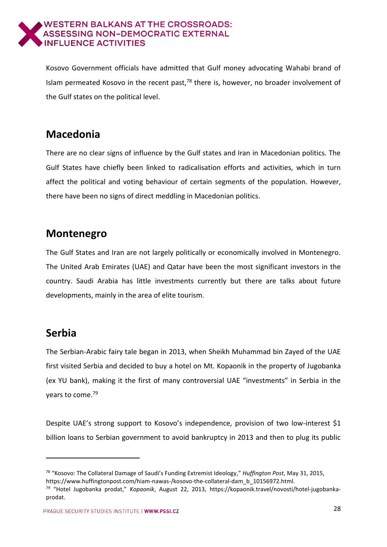

Kosovo Government officials have admitted that Gulf money advocating Wahabi brand of Islam permeated Kosovo in the recent past, $78$  there is, however, no broader involvement of the Gulf states on the political level.

### <span id="page-27-0"></span>**Macedonia**

There are no clear signs of influence by the Gulf states and Iran in Macedonian politics. The Gulf States have chiefly been linked to radicalisation efforts and activities, which in turn affect the political and voting behaviour of certain segments of the population. However, there have been no signs of direct meddling in Macedonian politics.

#### <span id="page-27-1"></span>**Montenegro**

The Gulf States and Iran are not largely politically or economically involved in Montenegro. The United Arab Emirates (UAE) and Qatar have been the most significant investors in the country. Saudi Arabia has little investments currently but there are talks about future developments, mainly in the area of elite tourism.

## <span id="page-27-2"></span>**Serbia**

-

The Serbian-Arabic fairy tale began in 2013, when Sheikh Muhammad bin Zayed of the UAE first visited Serbia and decided to buy a hotel on Mt. Kopaonik in the property of Jugobanka (ex YU bank), making it the first of many controversial UAE "investments" in Serbia in the years to come. 79

Despite UAE's strong support to Kosovo's independence, provision of two low-interest \$1 billion loans to Serbian government to avoid bankruptcy in 2013 and then to plug its public

<sup>78</sup> "Kosovo: The Collateral Damage of Saudi's Funding Extremist Ideology," *Huffington Post*, May 31, 2015, https://www.huffingtonpost.com/hiam-nawas-/kosovo-the-collateral-dam\_b\_10156972.html.

<sup>79</sup> "Hotel Jugobanka prodat," *Kopaonik*, August 22, 2013, https://kopaonik.travel/novosti/hotel-jugobankaprodat.